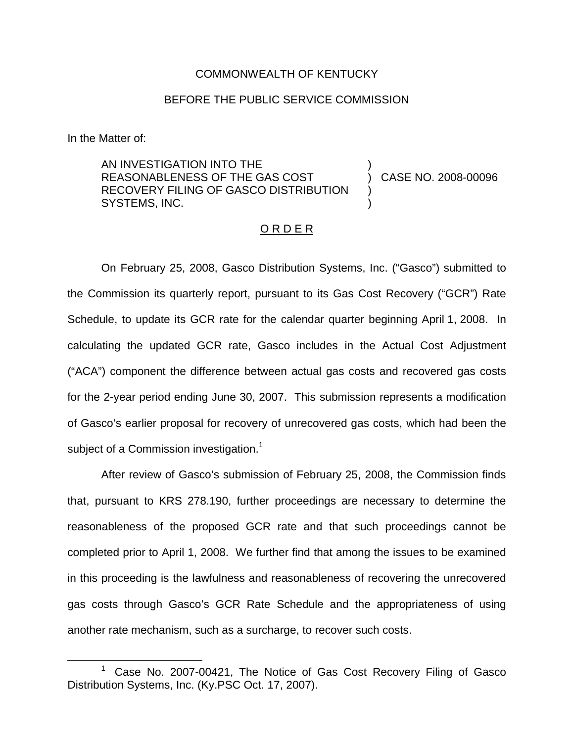### COMMONWEALTH OF KENTUCKY

## BEFORE THE PUBLIC SERVICE COMMISSION

In the Matter of:

AN INVESTIGATION INTO THE REASONABLENESS OF THE GAS COST RECOVERY FILING OF GASCO DISTRIBUTION SYSTEMS, INC. ) ) CASE NO. 2008-00096 ) )

#### O R D E R

On February 25, 2008, Gasco Distribution Systems, Inc. ("Gasco") submitted to the Commission its quarterly report, pursuant to its Gas Cost Recovery ("GCR") Rate Schedule, to update its GCR rate for the calendar quarter beginning April 1, 2008. In calculating the updated GCR rate, Gasco includes in the Actual Cost Adjustment ("ACA") component the difference between actual gas costs and recovered gas costs for the 2-year period ending June 30, 2007. This submission represents a modification of Gasco's earlier proposal for recovery of unrecovered gas costs, which had been the subject of a Commission investigation.<sup>1</sup>

After review of Gasco's submission of February 25, 2008, the Commission finds that, pursuant to KRS 278.190, further proceedings are necessary to determine the reasonableness of the proposed GCR rate and that such proceedings cannot be completed prior to April 1, 2008. We further find that among the issues to be examined in this proceeding is the lawfulness and reasonableness of recovering the unrecovered gas costs through Gasco's GCR Rate Schedule and the appropriateness of using another rate mechanism, such as a surcharge, to recover such costs.

<sup>1</sup> Case No. 2007-00421, The Notice of Gas Cost Recovery Filing of Gasco Distribution Systems, Inc. (Ky.PSC Oct. 17, 2007).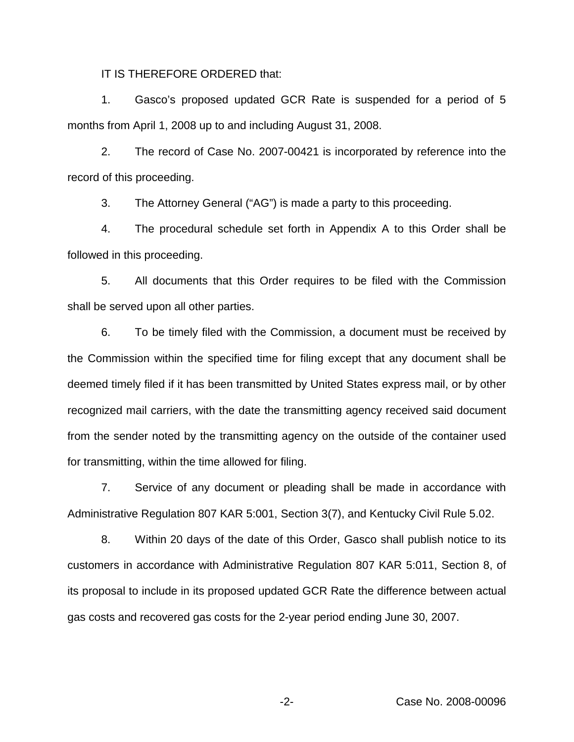IT IS THEREFORE ORDERED that:

1. Gasco's proposed updated GCR Rate is suspended for a period of 5 months from April 1, 2008 up to and including August 31, 2008.

2. The record of Case No. 2007-00421 is incorporated by reference into the record of this proceeding.

3. The Attorney General ("AG") is made a party to this proceeding.

4. The procedural schedule set forth in Appendix A to this Order shall be followed in this proceeding.

5. All documents that this Order requires to be filed with the Commission shall be served upon all other parties.

6. To be timely filed with the Commission, a document must be received by the Commission within the specified time for filing except that any document shall be deemed timely filed if it has been transmitted by United States express mail, or by other recognized mail carriers, with the date the transmitting agency received said document from the sender noted by the transmitting agency on the outside of the container used for transmitting, within the time allowed for filing.

7. Service of any document or pleading shall be made in accordance with Administrative Regulation 807 KAR 5:001, Section 3(7), and Kentucky Civil Rule 5.02.

8. Within 20 days of the date of this Order, Gasco shall publish notice to its customers in accordance with Administrative Regulation 807 KAR 5:011, Section 8, of its proposal to include in its proposed updated GCR Rate the difference between actual gas costs and recovered gas costs for the 2-year period ending June 30, 2007.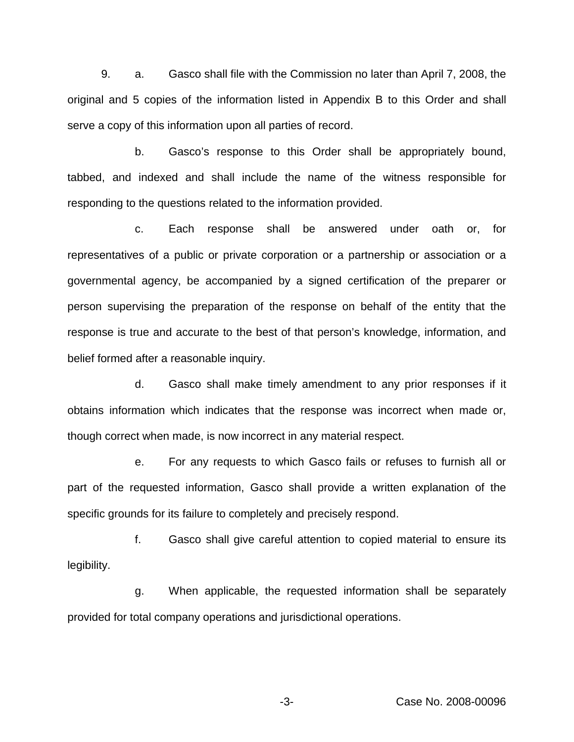9. a. Gasco shall file with the Commission no later than April 7, 2008, the original and 5 copies of the information listed in Appendix B to this Order and shall serve a copy of this information upon all parties of record.

b. Gasco's response to this Order shall be appropriately bound, tabbed, and indexed and shall include the name of the witness responsible for responding to the questions related to the information provided.

c. Each response shall be answered under oath or, for representatives of a public or private corporation or a partnership or association or a governmental agency, be accompanied by a signed certification of the preparer or person supervising the preparation of the response on behalf of the entity that the response is true and accurate to the best of that person's knowledge, information, and belief formed after a reasonable inquiry.

d. Gasco shall make timely amendment to any prior responses if it obtains information which indicates that the response was incorrect when made or, though correct when made, is now incorrect in any material respect.

e. For any requests to which Gasco fails or refuses to furnish all or part of the requested information, Gasco shall provide a written explanation of the specific grounds for its failure to completely and precisely respond.

f. Gasco shall give careful attention to copied material to ensure its legibility.

g. When applicable, the requested information shall be separately provided for total company operations and jurisdictional operations.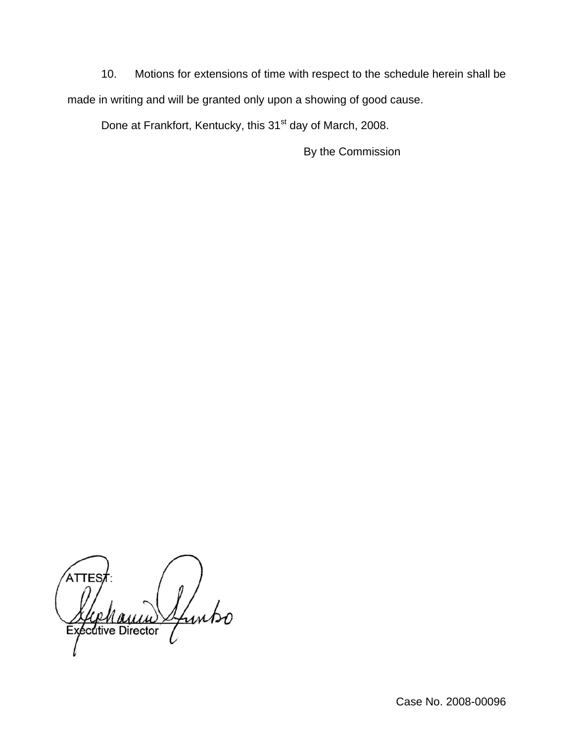10. Motions for extensions of time with respect to the schedule herein shall be made in writing and will be granted only upon a showing of good cause.

Done at Frankfort, Kentucky, this 31<sup>st</sup> day of March, 2008.

By the Commission

funtso **Exécutive Director**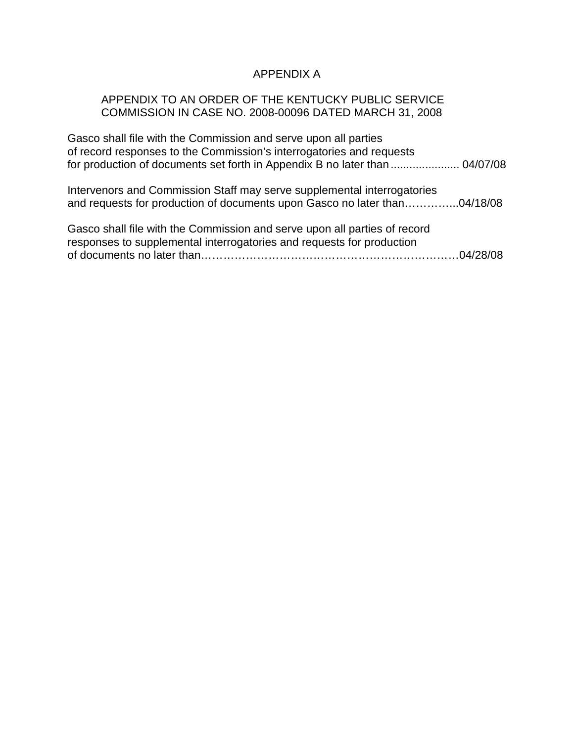# APPENDIX A

# APPENDIX TO AN ORDER OF THE KENTUCKY PUBLIC SERVICE COMMISSION IN CASE NO. 2008-00096 DATED MARCH 31, 2008

| Gasco shall file with the Commission and serve upon all parties             |  |
|-----------------------------------------------------------------------------|--|
| of record responses to the Commission's interrogatories and requests        |  |
| for production of documents set forth in Appendix B no later than  04/07/08 |  |
|                                                                             |  |

| Intervenors and Commission Staff may serve supplemental interrogatories   |  |
|---------------------------------------------------------------------------|--|
| and requests for production of documents upon Gasco no later than04/18/08 |  |
|                                                                           |  |

| Gasco shall file with the Commission and serve upon all parties of record |  |
|---------------------------------------------------------------------------|--|
| responses to supplemental interrogatories and requests for production     |  |
|                                                                           |  |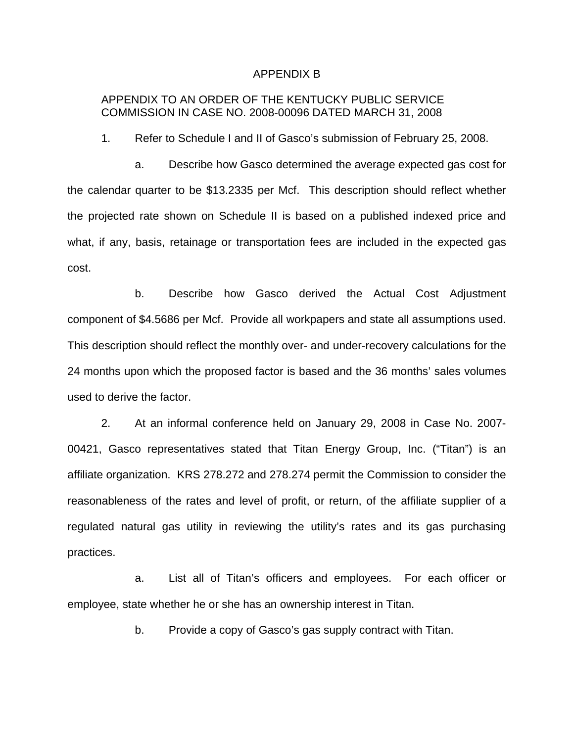#### APPENDIX B

# APPENDIX TO AN ORDER OF THE KENTUCKY PUBLIC SERVICE COMMISSION IN CASE NO. 2008-00096 DATED MARCH 31, 2008

1. Refer to Schedule I and II of Gasco's submission of February 25, 2008.

a. Describe how Gasco determined the average expected gas cost for the calendar quarter to be \$13.2335 per Mcf. This description should reflect whether the projected rate shown on Schedule II is based on a published indexed price and what, if any, basis, retainage or transportation fees are included in the expected gas cost.

b. Describe how Gasco derived the Actual Cost Adjustment component of \$4.5686 per Mcf. Provide all workpapers and state all assumptions used. This description should reflect the monthly over- and under-recovery calculations for the 24 months upon which the proposed factor is based and the 36 months' sales volumes used to derive the factor.

2. At an informal conference held on January 29, 2008 in Case No. 2007- 00421, Gasco representatives stated that Titan Energy Group, Inc. ("Titan") is an affiliate organization. KRS 278.272 and 278.274 permit the Commission to consider the reasonableness of the rates and level of profit, or return, of the affiliate supplier of a regulated natural gas utility in reviewing the utility's rates and its gas purchasing practices.

a. List all of Titan's officers and employees. For each officer or employee, state whether he or she has an ownership interest in Titan.

b. Provide a copy of Gasco's gas supply contract with Titan.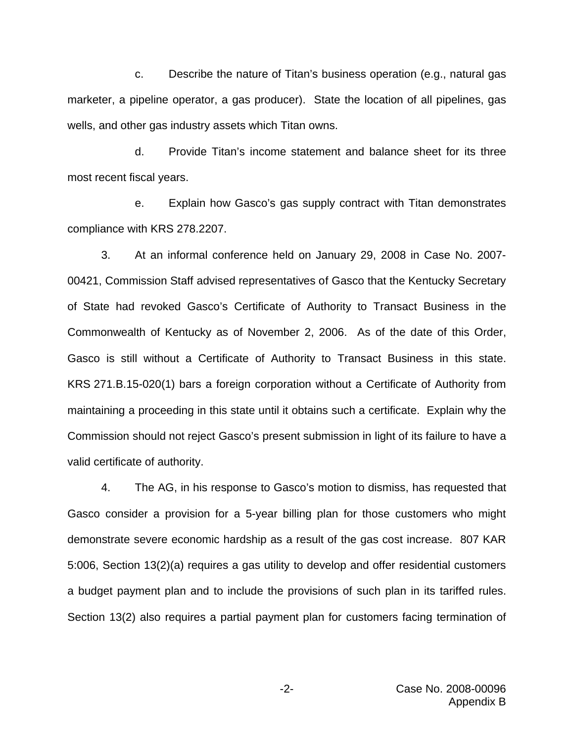c. Describe the nature of Titan's business operation (e.g., natural gas marketer, a pipeline operator, a gas producer). State the location of all pipelines, gas wells, and other gas industry assets which Titan owns.

d. Provide Titan's income statement and balance sheet for its three most recent fiscal years.

e. Explain how Gasco's gas supply contract with Titan demonstrates compliance with KRS 278.2207.

3. At an informal conference held on January 29, 2008 in Case No. 2007- 00421, Commission Staff advised representatives of Gasco that the Kentucky Secretary of State had revoked Gasco's Certificate of Authority to Transact Business in the Commonwealth of Kentucky as of November 2, 2006. As of the date of this Order, Gasco is still without a Certificate of Authority to Transact Business in this state. KRS 271.B.15-020(1) bars a foreign corporation without a Certificate of Authority from maintaining a proceeding in this state until it obtains such a certificate. Explain why the Commission should not reject Gasco's present submission in light of its failure to have a valid certificate of authority.

4. The AG, in his response to Gasco's motion to dismiss, has requested that Gasco consider a provision for a 5-year billing plan for those customers who might demonstrate severe economic hardship as a result of the gas cost increase. 807 KAR 5:006, Section 13(2)(a) requires a gas utility to develop and offer residential customers a budget payment plan and to include the provisions of such plan in its tariffed rules. Section 13(2) also requires a partial payment plan for customers facing termination of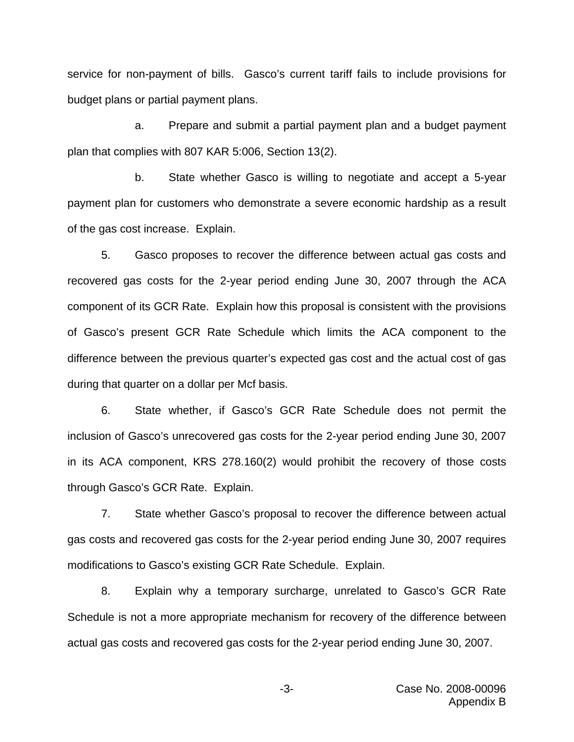service for non-payment of bills. Gasco's current tariff fails to include provisions for budget plans or partial payment plans.

a. Prepare and submit a partial payment plan and a budget payment plan that complies with 807 KAR 5:006, Section 13(2).

b. State whether Gasco is willing to negotiate and accept a 5-year payment plan for customers who demonstrate a severe economic hardship as a result of the gas cost increase. Explain.

5. Gasco proposes to recover the difference between actual gas costs and recovered gas costs for the 2-year period ending June 30, 2007 through the ACA component of its GCR Rate. Explain how this proposal is consistent with the provisions of Gasco's present GCR Rate Schedule which limits the ACA component to the difference between the previous quarter's expected gas cost and the actual cost of gas during that quarter on a dollar per Mcf basis.

6. State whether, if Gasco's GCR Rate Schedule does not permit the inclusion of Gasco's unrecovered gas costs for the 2-year period ending June 30, 2007 in its ACA component, KRS 278.160(2) would prohibit the recovery of those costs through Gasco's GCR Rate. Explain.

7. State whether Gasco's proposal to recover the difference between actual gas costs and recovered gas costs for the 2-year period ending June 30, 2007 requires modifications to Gasco's existing GCR Rate Schedule. Explain.

8. Explain why a temporary surcharge, unrelated to Gasco's GCR Rate Schedule is not a more appropriate mechanism for recovery of the difference between actual gas costs and recovered gas costs for the 2-year period ending June 30, 2007.